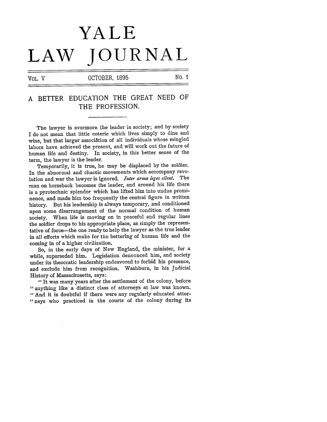## **YALE LAW JOURNAL**

## VOL. V OCTOBER, 1895 No. **I**

## **<sup>A</sup>**BETTER **EDUCATION** THE GREAT **NEED** OF THE **PROFESSION.**

The lawyer is evermore the leader in society; and by society I do not mean that little coterie which lives simply to dine and wine, but that larger association of all individuals whose mingled labors have achieved the present, and will work out the future of human life and destiny. In society, in this better sense of the term, the lawyer is the leader.

Temporarily, it is true, he may be displaced by the soldier. In the abnormal and chaotic movements which accompany revolution and war the lawyer is ignored. *binter arma leges silent.* The man on horseback becomes the leader, and around his life there is a pyrotechnic splendor which has lifted him into undue prominence, and made him too frequently the central figure in written history. But his leadership is always temporary, and conditioned upon some disarrangement of the normal condition of human society. When life is moving on in peaceful and regular lines the soldier drops to his appropriate place, as simply the representative of force-the one ready to help the lawyer as the true leader in all efforts which make for the bettering of human life and the coming in of a higher civilization.

So, in the early days of New England, the minister, for a while, superseded him. Legislation denounced him, and society under its theocratic leadership endeavored to forbid his presence, and exclude him from recognition. Washburn, in his Judicial History of Massachusetts, says:

"It was many years after the settlement of the colony, before "anything like a distinct class of attorneys at law was known. "And it is doubtful if there were any regularly educated attor- "neys who practiced in the courts of the colony during its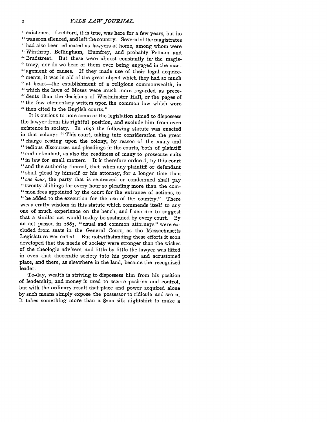"existence. Lechford, it is true, was here for a few years, but he "was soon silenced, and left the country. Several of the magistrates "had also been educated as lawyers at home, among whom were "Winthrop. Bellingham, Humfrey, and probably Pelham and "Bradstreet. But these were almost constantly in- the magis- "tracy, nor do we hear of them ever being engaged in the man-"agement of causes. If they made use of their legal acquire-"ments, it was in aid of the great object which they had so much " at heart—the establishment of a religious commonwealth, in "which the laws of Moses were much more regarded as prece- " dents than the decisions of Westminster Hall, or the pages of "the few elementary writers upon the common law which were "then cited in the English courts."

It is curious to note some of the legislation aimed to dispossess the lawyer from his rightful position, and exclude him from even existence in society. In 1656 the following statute was enacted in that colony: "This court, taking into consideration the great "charge resting upon the colony, by reason of the many and "tedious discourses and pleadings in the courts, both of plaintiff "and defendant, as also the readiness of many to prosecute suits "in law for small matters. It is therefore ordered, **by** this court " and the authority thereof, that when any plaintiff or defendant "shall plead by himself or his attorney, for a longer time than *"one hour,* the party that is sentenced or condemned shall pay "twenty shillings for every hour so pleading more than the com- "mon fees appointed by the court for the entrance of actions, to " be added to the execution for the use of the country." There was a crafty wisdom in this statute which commends itself to any one of much experience on the bench, and I venture to suggest that a similar act would to-day be sustained by every court. By an act passed in *1663,* "usual and common attorneys" were excluded from seats in the General Court, as the Massachusetts Legislature was called. But notwithstanding these efforts it soon developed that the needs of society were stronger than the wishes of the theologic advisers, and little by little the lawyer was lifted in even that theocratic society into his proper and accustomed place, and there, as elsewhere in the land, became the recognized leader.

To-day, wealth is striving to dispossess him from his position of leadership, and money is used to secure position and control, but with the ordinary result that place and power acquired alone by such means simply expose the possessor to ridicule and scorn. It takes something more than a **\$200** silk nightshirt to make a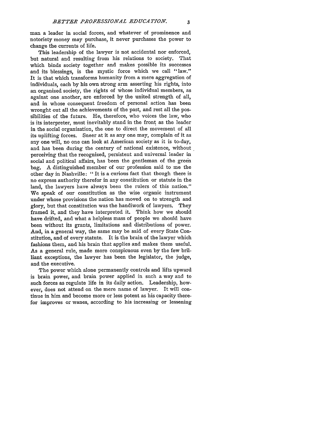man a leader in social forces, and whatever of prominence and notoriety money may purchase, it never purchases the power to change the currents of life.

This leadership of the lawyer is not accidental nor enforced, but natural and resulting from his relations to society. That which binds society together and makes possible its successes and its blessings, is the mystic force which we call "law." It is that which transforms humanity from a mere aggregation of individuals, each by his own strong arm asserting his rights, into an organized society, the rights of whose individual members, as against one another, are enforced by the united strength of all, and in whose consequent freedom of personal action has been wrought out all the achievements of the past, and rest all the possibilities of the future. He, therefore, who voices the law, who is its interpreter, must inevitably stand in the front as the leader in the social organization, the one to direct the movement of all its uplifting forces. Sneer at it as any one may, complain of it as any one will, no one can look at American society as it is to-day, and has been during the century of national existence, without perceiving that the recognized, persistent and universal leader in social and political affairs, has been the gentleman of the green bag. A distinguished member of our profession said to me the other day in Nashville: " It is a curious fact that though there is no express authority therefor in any constitution or statute in the land, the lawyers have always been the rulers of this nation." We speak of our constitution as the wise organic instrument under whose provisions the nation has moved on to strength and glory, but that constitution was the handiwork of lawyers. They framed it, and they have interpreted it. Think how we should have drifted, and what a helpless mass of people we should have been without its grants, limitations and distributions of power. And, in a general way, the same may be said of every State Constitution, and of every statute. It is the brain of the lawyer which fashions them, and his brain that applies and makes them useful. As a general rule, made more conspicuous even by the few brilliant exceptions, the lawyer has been the legislator, the judge, and the executive.

The power which alone permanently controls and lifts upward is brain power, and brain power applied in such a way and to such forces as regulate life in its daily action. Leadership, however, does not attend on the mere name of lawyer. It will continue in him and become more or less potent as his capacity therefor improves or wanes, according to his increasing or lessening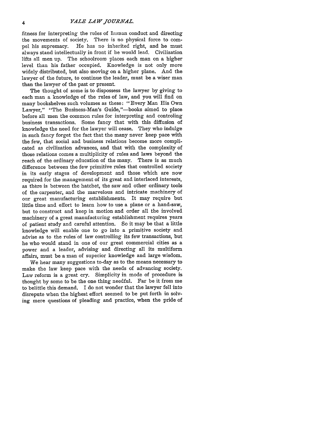fitness for interpreting the rules of human conduct and directing the movements of society. There is no physical force to compel his supremacy. He has no inherited right, and he must always stand intellectually in front if be would lead. Civilization lifts all men up. The schoolroom places each man on a higher level than his father occupied. Knowledge is not only more widely distributed, but also moving on a higher plane. And the lawyer of the future, to continue the leader, must be a wiser man than the lawyer of the past or present.

The thought of some is to dispossess the lawyer by giving to each man a knowledge of the rules of law, and you will find on many bookshelves such volumes as these: "Every Man His Own Lawyer," "The Business-Man's Guide,"-books aimed to place before all men the common rules for interpreting and controling business transactions. Some fancy that with this diffusion of knowledge the need for the lawyer will cease. They who indulge in such fancy forget the fact that the many never keep pace with the few, that social and business relations become more complicated as civilization advances, and that with the complexity of those relations comes a multiplicity of rules and laws beyond the reach of the ordinary education of the many. There is as much difference between the few primitive rules that controlled society in its early stages of development and those which are now required for the management of its great and interlaced interests, as there is between the hatchet, the saw and other ordinary tools of the carpenter, and the marvelous and intricate machinery of our great manufacturing establishments. It may require but little time and effort to learn how to use a plane or a hand-saw, but to construct and keep in motion and order all the involved machinery of a great manufacturing establishment requires years of patient study and careful attention. So it may be that a little knowledge will enable one to go into a primitive society and advise as to the rules of law controlling its few transactions, but he who would stand in one of our great commercial cities as a power and a leader, advising and directing all its multiform affairs, must be a man of superior knowledge and large wisdom.

We hear many suggestions to-day as to the means necessary to make the law keep pace with the needs of advancing society. Law reform is a great cry. Simplicity in mode of procedure is thought by some to be the one thing needful. Far be it from me to belittle this demand. I do not wonder that the lawyer fell into disrepute when the highest effort seemed to be put forth in solving mere questions of pleading and practice, when the pride of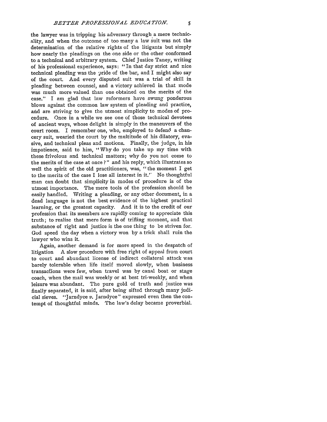the lawyer was in tripping his adversary through a mere technicality, and when the outcome of too many a law suit was not the determination of the relative rights of the litigants but simply how nearly the pleadings on the one side or the other conformed to a technical and arbitrary system. Chief Justice Taney, writing of his professional experience, says: "In that day strict and nice technical pleading was the pride of the bar, and I might also say of the court. And every disputed suit was a trial of skill in pleading between counsel, and a victory achieved in that mode was much more valued than one obtained on the merits of the case." I am glad that law reformers have swung ponderous blows against the common law system of pleading and practice, aid are striving to give the utmost simplicity to modes of procedure. Once in a while we see one of those technical devotees of ancient ways, whose delight is simply in the maneuvers of the court room. I remember one, who, employed to defend a chancery suit, wearied the court by the multitude of his dilatory, evasive, and technical pleas and motions. Finally, the judge, in his impatience, said to him, "Why do you take up my time with these frivolous and technical matters; why do you not come to the merits of the case at once **?"** and his reply, which illustrates so well the spirit of the old practitioners, was, "the moment I get to the merits of the case I lose all interest in it." No thoughtful man can doubt that simplicity in modes of procedure is of the utmost importance. The mere tools of the profession should be easily handled. Writing a pleading, or any other document, in a dead language is not the best evidence of the highest practical learning, or the greatest capacity. And it is to the credit of our profession that its members are rapidly coming to appreciate this truth; to realize that mere form is of trifling moment, and that substance of right and justice is the one thing to be striven for. God speed the day when a victory won by a trick shall ruin the lawyer who wins it.

Again, another demand is for more speed in the despatch of litigation A slow procedure with free right of appeal from court to court and abundant license of indirect collateral attack was barely tolerable when life itself moved slowly, when business transactions were few, when travel was by canal boat or stage coach, when the mail was weekly or at best tri-weekly, and when leisure was abundant. The pure gold of truth and justice was finally separated, it is said, after being sifted through many judicial sieves. "Jarndyce *v.* Jarndyce" expressed even then the contempt of thoughtful minds. The law's delay became proverbial.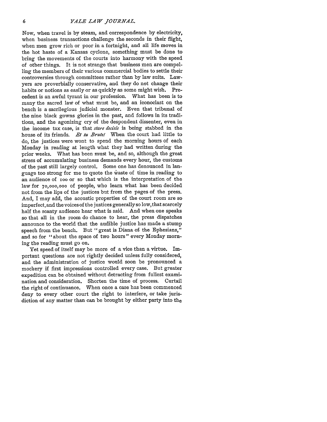Now, when travel is by steam, and correspondence by electricity, when business transactions challenge the seconds in their flight, when men grow rich or poor in a fortnight, and all life moves in the hot haste of a Kansas cyclone, something must be done to bring the movements of the courts into harmony with the speed of other things. It is not strange that business men are compelling the members of their various commercial bodies to settle their controversies through committees rather than by law suits. Lawyers are proverbially conservative, and they do not change their habits or notions as easily or as quickly as some might wish. Precedent is an awful tyrant in our profession. What has been is to many the sacred law of what must be, and an iconoclast on the bench is a sacrilegious judicial monster. Even that tribunal of the nine black gowns glories in the past, and follows in its traditions, and the agonizing cry of the despondent dissenter, even in the income tax case, is that stare *decisis* is being stabbed in the house of its friends. *Et tu Brute!* When the court had little to do, the justices were wont to spend the morning hours of each Monday in reading at length what they had written during the prior weeks. What has been must be, and so, although the great stress of accumulating business demands every hour, the customs of the past still largely control. Some one has denounced in language too strong for me to quote the waste of time in reading to an audience of **oo** or so that which is the interpretation of the law for **70,000,000** of people, who learn what has been decided not from the lips of the justices but from the pages of the press. And, I may add, the acoustic properties of the court room are so imperfect, and the voices of the justices generally so low, that scarcely half the scanty audience hear what is said. And when one speaks so that all in the room do chance to hear, the press dispatches announce to the world that the audible justice has made a stump speech from the bench. But "great is Diana of the Ephesians," and so for "about the space of two hours" every Monday morning the reading must go on.

Yet speed of itself may be more of a vice than a virtue. Important questions are not rightly decided unless fully considered, and the administration of justice would soon be pronounced a mockery if first impressions controlled every case. But greater expedition can be obtained without detracting from fullest examination and consideration. Shorten the time of process. Curtail the right of continuance. When once a case has been commenced deny to every other court the right to interfere, or take jurisdiction of any matter than can be brought by either party into the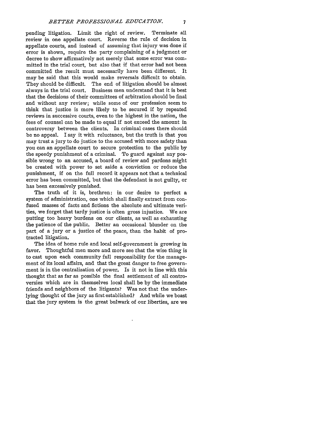$\overline{7}$ 

pending litigation. Limit the right of review. Terminate all review in one appellate court. Reverse the rule of decision in appellate courts, and instead of assuming that injury was done if error is shown, require the party complaining of a judgment or decree to show affirmatively not merely that some error was committed in the trial court, but also that if that error had not been committed the result must necessarily have been different. It may be said that this would make reversals difficult to obtain. They should be difficult. The end of litigation should be almost always in the trial court. Business men understand that it is best that the decisions of their committees of arbitration should be final and without any review; while some of our profession seem to think that justice is more likely to be secured if by repeated reviews in successive courts, even to the highest in the nation, the fees of counsel can be made to equal if not exceed the amount in controversy between the clients. In criminal cases there should be no appeal. I say it with reluctance, but the truth is that you may trust a jury to do justice to the accused with more safety than you can an appellate court to secure protection to the public by the speedy punishment of a criminal. To guard against any possible wrong to an accused, a board of review and pardons might be created with power to set aside a conviction or reduce the punishment, if on the full record it appears not that a technical error has been committed, but that the defendant is not guilty, or has been excessively punished.

The truth of it is, brethren: in our desire to perfect a system of administration, one which shall finally extract from confused masses of facts and fictions the absolute and ultimate verities, we forget that tardy justice is often gross injustice. We are putting too heavy burdens on our clients, as well as exhausting the patience of the public. Better an occasional blunder on the part of a jury or a justice of the peace, than the habit of protracted litigation.

The idea of home rule and local self-government is growing in favor. Thoughtful men more and more see that the wise thing is to cast upon each community full responsibility for the management of its local affairs, and that the great danger to free government is in the centralization of power. Is it not in line with this thought that as far as possible the final settlement of all controversies which are in themselves local shall be by the immediate friends and neighbors of the litigants? Was not that the underlying thought of the jury as first established? And while we boast that the jury system is the great bulwark of our liberties, are we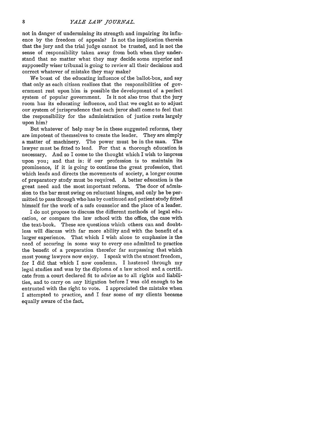not in danger of undermining its strength and impairing its influence by the freedom of appeals? Is not the implication therein that the jury and the trial judge cannot be trusted, and is not the sense of responsibility taken away from both when they understand that no matter what they may decide some superior and supposedly wiser tribunal is going to review all their decisions and correct whatever of mistake they may make?

We boast of the educating influence of the ballot-box, and say that only as each citizen realizes that the responsibilities of government rest upon him is possible the development of a perfect system of popular government. Is it not also true that the jury room has its educating influence, and that we ought so to adjust our system of jurisprudence that each juror shall come to feel that the responsibility for the administration of justice rests largely upon him?

But whatever of help may be in these suggested reforms, they are impotent of themselves to create the leader. They are simply a matter of machinery. The power must be in the man. The lawyer must be fitted to lead. For that a thorough education is necessary. And so I come to the thought which I wish to impress upon you; and that is: if our profession is to maintain its prominence, if it is going to continue the great profession, that which leads and directs the movements of society, a longer course of preparatory study must be required. A better education is the great need and the most important reform. The door of admission to the bar must swing on reluctant hinges, and only he be permitted to pass through who has by continued and patient study fitted himself for the work of a safe counselor and the place of a leader.

I do not propose to discuss the different methods of legal education, or compare the law school with the office, the case with the text-book. These are questions which others can and doubtless will discuss with far more ability and with the benefit of a larger experience. That which I wish alone to emphasize is the need of securing in some way to every one admitted to practice the benefit of a preparation therefor far surpassing that which most young lawyers now enjoy. I speak with the utmost freedom, for I did that which I now condemn. I hastened through my legal studies and was by the diploma of a law school and a certificate from a court declared fit to advise as to all rights and liabilities, and to carry on any litigation before I was old enough to be entrusted with the right to vote. I appreciated the mistake when I attempted to practice, and I fear some of my clients became equally aware of the fact.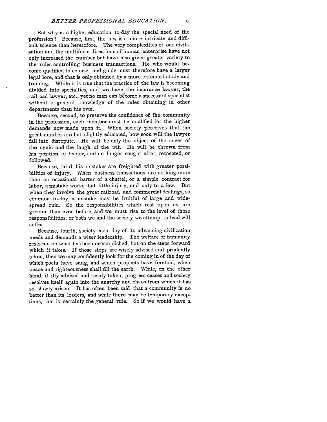But why is a higher education to-day the special need of the profession? Because, first, the law is a more intricate and difficult science than heretofore. The very complexities of our civilization and the multiform directions of human enterprise have not only increased the number but have also given greater variety to the rules controlling business transactions. He who would become qualified to counsel and guide must therefore have a larger legal lore, and that is only obtained by a more extended study and training. While it is true that the practice of the law is becoming divided into specialties, and we have the insurance lawyer, the railroad lawyer, etc., yet no man can become a successful specialist without a general knowledge of the rules obtaining in other departments than his own.

Because, second, to preserve the confidence of the community in the profession, each member must be qualified for the higher demands now made upon it. When society perceives that the great number are but slightly educated, how soon will the lawyer fall into disrepute. He will be only the object of the sneer of the cynic and the laugh of the wit. He will be thrown from his position of leader, and no longer sought after, respected, or followed.

Because, third, his mistakes are freighted with greater possibilities of injury. When business transactions are nothing more than an occasional barter of a chattel, or a simple contract for labor, a mistake works but little injury, and only to a few. But when they involve the great railroad and commercial dealings, so common to-day, a mistake may be fruitful of large and widespread ruin. So the responsibilities which rest upon us are greater than ever before, and we must rise to the level of those responsibilities, or both we and the society we attempt to lead will suffer.

Because, fourth, society each day of its advancing civilization needs and demands a wiser leadership. The welfare of humanity rests not on what has been accomplished, but on the steps forward which it takes. If those steps are wisely advised and prudently taken, then we may confidently look for the coming in of the day of which poets have sung, and which prophets have foretold, when peace and righteousness shall fill the earth. While, on the other hand, if illy advised and rashly taken, progress ceases and society resolves itself again into the anarchy and chaos from which it has so slowly arisen. It has often been said that a community is no better than its leaders, and while there may be temporary exceptions, that is certainly the general rule. So if we would have a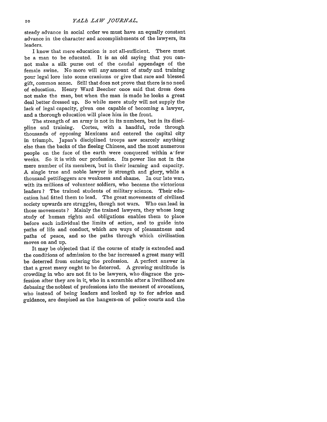steady advance in social order we must have an equally constant advance in the character and accomplishments of the lawyers, its leaders.

I know that mere education is not all-sufficient. There must be a man to be educated. It is an old saying that you cannot make a silk purse out of the caudal appendage of the female swine. No more will any amount of study and training pour legal lore into some craniums or give that rare and blessed gift, common sense. Still that does not prove that there is no need of education. Henry Ward Beecher once said that dress does not make the man, but when the man is made he looks a great deal better dressed up. So while mere study will not supply the lack of legal capacity, given one capable of becoming a lawyer, and a thorough education will place him in the front.

The strength of an army is not in its numbers, but in its discipline and training. Cortez, with a handful, rode through Cortez, with a handful, rode through thousands of opposing Mexicans and entered the capital city in triumph. Japan's disciplined troops saw scarcely anything else than the backs of the fleeing Chinese, and the most numerous people on the face of the earth were conquered within a few weeks. So it is with our profession. Its power lies not in the mere number of its members, but in their learning and capacity. **A** single true and noble lawyer is strength and glory, while a thousand pettifoggers are weakness and shame. In our late war, with its millions of volunteer soldiers, who became the victorious leaders ? The trained students of military science. Their education had fitted them to lead. The great movements of civilized society upwards are struggles, though not wars. Who can lead in those movements? Mainly the trained lawyers, they whose long study of human rights and obligations enables them to place before each individual the limits of action, and to guide into paths of life and conduct, which are ways of pleasantness and paths of peace, and so the paths through which civilization moves on and up.

It may be objected that if the course of study is extended and the conditions of admission to the bar increased a great many will be deterred from entering the profession. A perfect answer is that a great many ought to be deterred. A growing multitude is crowding in who are not fit to be lawyers, who disgrace the profession after they are in it, who in a scramble after a livelihood are debasing the noblest of professions into the meanest of avocations, who instead of being leaders and looked up to for advice and guidance, are despised as the hangers-on of police courts and the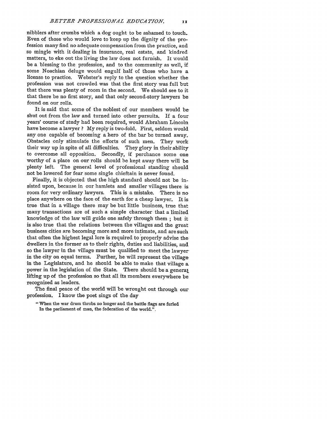nibblers after crumbs which a dog ought to be ashamed to touch. Even of those who would love to keep up the dignity of the profession many find no adequate compensation from the practice, and so mingle with it dealing in insurance, real estate, and kindred matters, to eke out the living the law does not furnish. It would be a blessing to the profession, and to the community as well, if some Noachian deluge would engulf half of those who have a license to practice. Webster's reply to the question whether the profession was not crowded was that the first story was full but that there was plenty of room in the second. We should see to it that there be no first story, and that only second-story lawyers be found on our rolls.

It is said that some of the noblest of our members would *be*shut out from the law and turned into other pursuits. If a four years' course of study had been required, would Abraham Lincoln have become a lawyer ? My reply is two-fold. First, seldom would any one capable of becoming a hero of the bar be turned away. Obstacles only stimulate the efforts of such men. They work their way up in spite of all difficulties. They glory in their ability to overcome all opposition. Secondly, if perchance some one worthy of a place on our rolls should be kept away there will be plenty left. The general level of professional standing should not be lowered for fear some single chieftain is never found.

Finally, it is objected that the high standard should not be insisted upon, because in our hamlets and smaller villages there is room for very ordinary lawyers. This is a mistake. There is no place anywhere on the face of the earth for a cheap lawyer. It is true that in a village there may be but little business, true that many transactions are of such a simple character that a limited knowledge of the law will guide one safely through them ; but it is also true that the relations between the villages and the great business cities are becoming more and more intimate, and are such that often the highest legal lore is required to properly advise the dwellers in the former as to their rights, duties and liabilities, and so the lawyer in the village must be qualified to meet the lawyer in the city on equal terms. Further, he will represent the village in the Legislature, and he should be able to make that village **a** power in the legislation of the State. There should be a general lifting up of the profession so that all its members everywhere be recognized as leaders.

The final peace of the world will be wrought out through our profession. I know the poet sings of the day

<sup>&</sup>quot;When the war drum throbs no longer and the battle flags are furled In the parliament of man, the federation of the world.".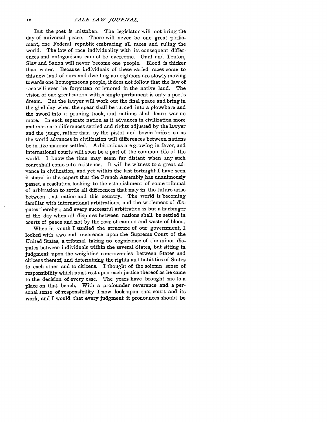But the poet is mistaken. The legislator will not bring the day of universal peace. There will never be one great parliament, one Federal republic embracing all races and ruling the world. The law of race individuality with its consequent differences and antagonisms cannot be overcome. Gaul and Teuton, Slav and Saxon will never become one people. Blood is thicker than water. Because individuals of these varied races come to this new land of ours and dwelling as neighbors are slowly moving towards one homogeneous people, it does not follow that the law of race will ever be forgotten or ignored in the native land. The vision of one great nation with a single parliament is only a poet's dream. But the lawyer will work out the final peace and bring in the glad day when the spear shall be turned into a plowshare and the sword into a pruning hook, and nations shall learn war no more. In each separate nation as it advances in civilization more and more are differences settled and rights adjusted by the lawyer and the judge, rather than **by** the pistol and bowie-knife ; so as the world advances in civilization will differences between nations be in like manner settled. Arbitrations are growing in favor, and international courts will soon be a part of the common life of the world. I know the time may seem far distant when any such court shall come into existence. It will be witness to a great advance in civilization, and yet within the last fortnight I have seen it stated in the papers that the French Assembly has unanimously passed a resolution looking to the establishment of some tribunal of arbitration to settle all differences that may in the future arise between that nation and this country. The world is becoming familiar with international arbitrations, and the settlement of disputes thereby ; and every successful arbitration is but a harbinger of the day when all disputes between nations shall be settled in courts of peace and not by the roar of cannon and waste of blood.

When in youth I studied the structure of our government, I looked with awe and reverence upon the Supreme Court of the United States, a tribunal taking no cognizance of the minor disputes between individuals within the several States, but sitting in judgment upon the weightier controversies between States and citizens thereof, and determining the rights and liabilities of States to each other and to citizens. I thought of the solemn sense of responsibility which must rest upon each justice thereof as he came to the decision of every case. The years have brought me to a place on that bench. With a profounder reverence and a personal sense of responsibility I now look upon that court and its work, and I would that every judgment it pronounces should be